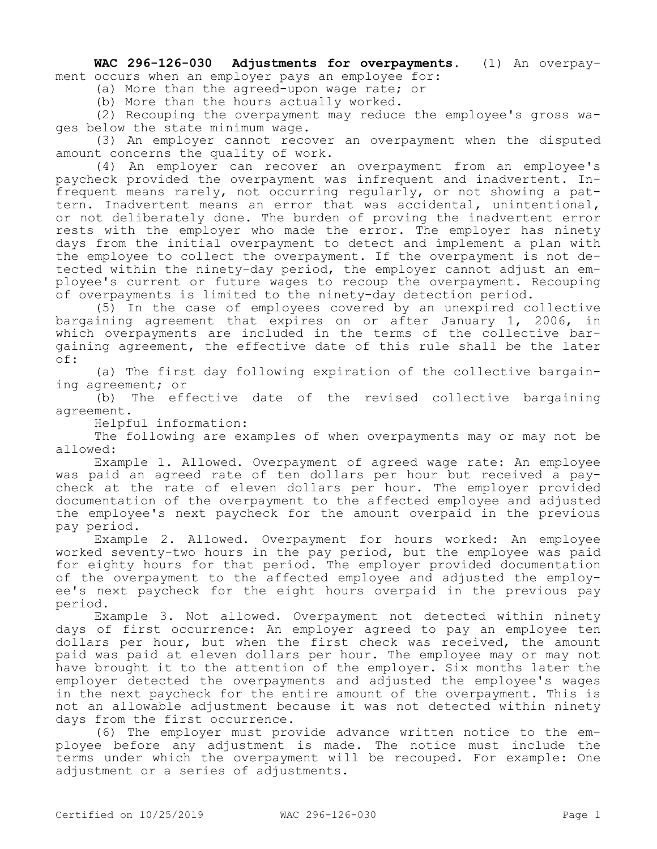**WAC 296-126-030 Adjustments for overpayments.** (1) An overpayment occurs when an employer pays an employee for:

(a) More than the agreed-upon wage rate; or

(b) More than the hours actually worked.

(2) Recouping the overpayment may reduce the employee's gross wages below the state minimum wage.

(3) An employer cannot recover an overpayment when the disputed amount concerns the quality of work.

(4) An employer can recover an overpayment from an employee's paycheck provided the overpayment was infrequent and inadvertent. Infrequent means rarely, not occurring regularly, or not showing a pattern. Inadvertent means an error that was accidental, unintentional, or not deliberately done. The burden of proving the inadvertent error rests with the employer who made the error. The employer has ninety days from the initial overpayment to detect and implement a plan with the employee to collect the overpayment. If the overpayment is not detected within the ninety-day period, the employer cannot adjust an employee's current or future wages to recoup the overpayment. Recouping of overpayments is limited to the ninety-day detection period.

(5) In the case of employees covered by an unexpired collective bargaining agreement that expires on or after January 1, 2006, in which overpayments are included in the terms of the collective bargaining agreement, the effective date of this rule shall be the later of:

(a) The first day following expiration of the collective bargaining agreement; or

(b) The effective date of the revised collective bargaining agreement.

Helpful information:

The following are examples of when overpayments may or may not be allowed:

Example 1. Allowed. Overpayment of agreed wage rate: An employee was paid an agreed rate of ten dollars per hour but received a paycheck at the rate of eleven dollars per hour. The employer provided documentation of the overpayment to the affected employee and adjusted the employee's next paycheck for the amount overpaid in the previous pay period.

Example 2. Allowed. Overpayment for hours worked: An employee worked seventy-two hours in the pay period, but the employee was paid for eighty hours for that period. The employer provided documentation of the overpayment to the affected employee and adjusted the employee's next paycheck for the eight hours overpaid in the previous pay period.

Example 3. Not allowed. Overpayment not detected within ninety days of first occurrence: An employer agreed to pay an employee ten dollars per hour, but when the first check was received, the amount paid was paid at eleven dollars per hour. The employee may or may not have brought it to the attention of the employer. Six months later the employer detected the overpayments and adjusted the employee's wages in the next paycheck for the entire amount of the overpayment. This is not an allowable adjustment because it was not detected within ninety days from the first occurrence.

(6) The employer must provide advance written notice to the employee before any adjustment is made. The notice must include the terms under which the overpayment will be recouped. For example: One adjustment or a series of adjustments.